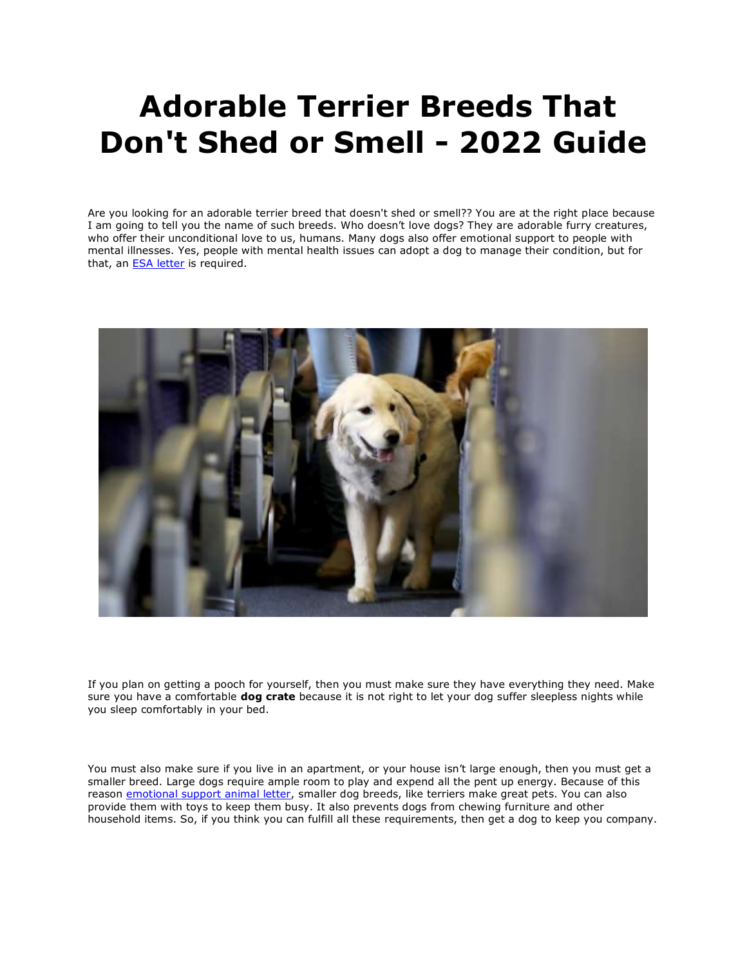## **Adorable Terrier Breeds That Don't Shed or Smell - 2022 Guide**

Are you looking for an adorable terrier breed that doesn't shed or smell?? You are at the right place because I am going to tell you the name of such breeds. Who doesn't love dogs? They are adorable furry creatures, who offer their unconditional love to us, humans. Many dogs also offer emotional support to people with mental illnesses. Yes, people with mental health issues can adopt a dog to manage their condition, but for that, an **[ESA letter](https://www.realesaletter.com/sample-esa-letter)** is required.



If you plan on getting a pooch for yourself, then you must make sure they have everything they need. Make sure you have a comfortable **dog crate** because it is not right to let your dog suffer sleepless nights while you sleep comfortably in your bed.

You must also make sure if you live in an apartment, or your house isn't large enough, then you must get a smaller breed. Large dogs require ample room to play and expend all the pent up energy. Because of this reason [emotional support animal letter,](https://www.realesaletter.com/sample-esa-letter) smaller dog breeds, like terriers make great pets. You can also provide them with toys to keep them busy. It also prevents dogs from chewing furniture and other household items. So, if you think you can fulfill all these requirements, then get a dog to keep you company.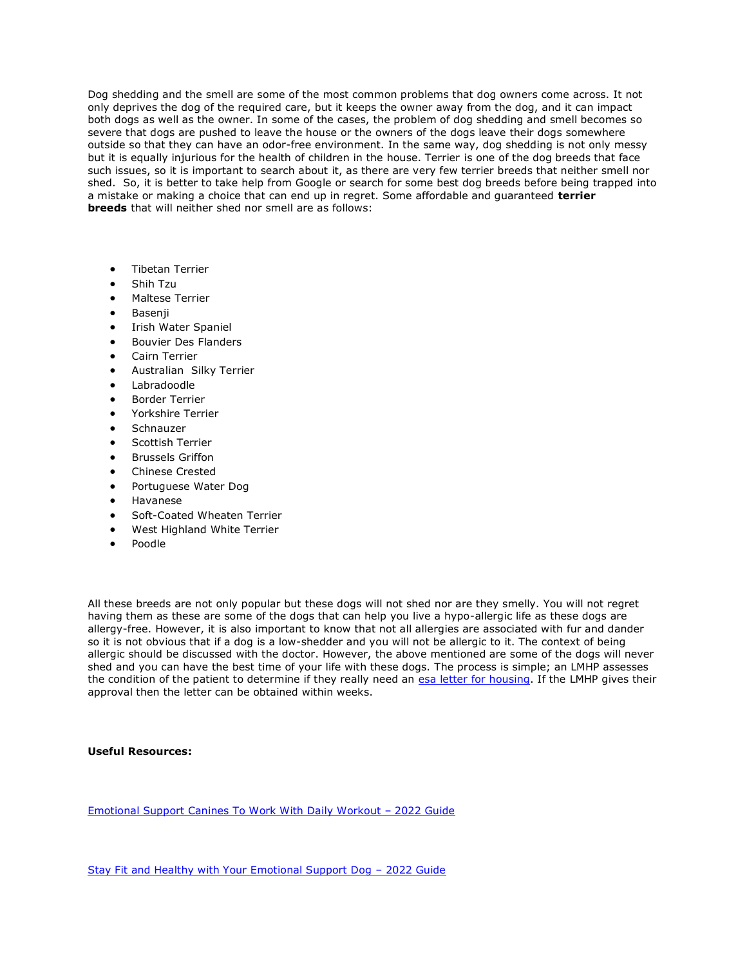Dog shedding and the smell are some of the most common problems that dog owners come across. It not only deprives the dog of the required care, but it keeps the owner away from the dog, and it can impact both dogs as well as the owner. In some of the cases, the problem of dog shedding and smell becomes so severe that dogs are pushed to leave the house or the owners of the dogs leave their dogs somewhere outside so that they can have an odor-free environment. In the same way, dog shedding is not only messy but it is equally injurious for the health of children in the house. Terrier is one of the dog breeds that face such issues, so it is important to search about it, as there are very few terrier breeds that neither smell nor shed. So, it is better to take help from Google or search for some best dog breeds before being trapped into a mistake or making a choice that can end up in regret. Some affordable and guaranteed **terrier breeds** that will neither shed nor smell are as follows:

- **•** Tibetan Terrier
- Shih Tzu
- Maltese Terrier
- Basenji
- Irish Water Spaniel
- Bouvier Des Flanders
- Cairn Terrier
- Australian Silky Terrier
- Labradoodle
- Border Terrier
- Yorkshire Terrier
- **Schnauzer**
- Scottish Terrier
- Brussels Griffon
- Chinese Crested
- Portuguese Water Dog
- Havanese
- Soft-Coated Wheaten Terrier
- West Highland White Terrier
- Poodle

All these breeds are not only popular but these dogs will not shed nor are they smelly. You will not regret having them as these are some of the dogs that can help you live a hypo-allergic life as these dogs are allergy-free. However, it is also important to know that not all allergies are associated with fur and dander so it is not obvious that if a dog is a low-shedder and you will not be allergic to it. The context of being allergic should be discussed with the doctor. However, the above mentioned are some of the dogs will never shed and you can have the best time of your life with these dogs. The process is simple; an LMHP assesses the condition of the patient to determine if they really need an [esa letter for housing.](https://myesaletter.net/) If the LMHP gives their approval then the letter can be obtained within weeks.

**Useful Resources:**

[Emotional Support Canines To](https://richardcarlson.webstarts.com/blog/post/emotional-support-canines-to-work-with-daily-workout-2022-guide) Work With Daily Workout – 2022 Guide

[Stay Fit and Healthy with Your Emotional Support Dog](https://richardcarlson.webstarts.com/blog/post/stay-fit-and-healthy-with-your-emotional-support-dog-2022-guide) – 2022 Guide